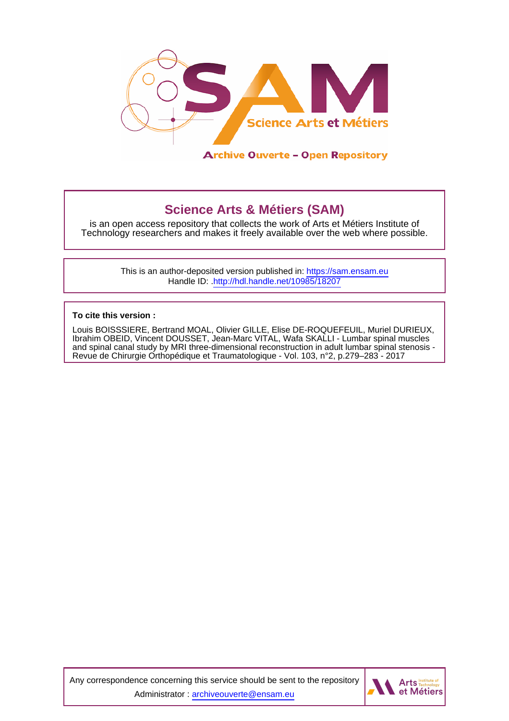

# **Science Arts & Métiers (SAM)**

is an open access repository that collects the work of Arts et Métiers Institute of Technology researchers and makes it freely available over the web where possible.

> This is an author-deposited version published in:<https://sam.ensam.eu> Handle ID: [.http://hdl.handle.net/10985/18207](http://hdl.handle.net/10985/18207)

**To cite this version :**

Louis BOISSSIERE, Bertrand MOAL, Olivier GILLE, Elise DE-ROQUEFEUIL, Muriel DURIEUX, Ibrahim OBEID, Vincent DOUSSET, Jean-Marc VITAL, Wafa SKALLI - Lumbar spinal muscles and spinal canal study by MRI three-dimensional reconstruction in adult lumbar spinal stenosis - Revue de Chirurgie Orthopédique et Traumatologique - Vol. 103, n°2, p.279–283 - 2017

Any correspondence concerning this service should be sent to the repository Administrator : [archiveouverte@ensam.eu](mailto:archiveouverte@ensam.eu)

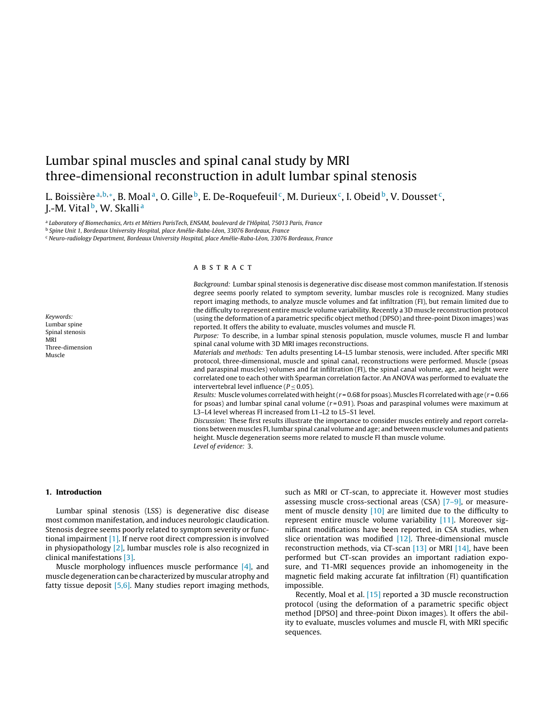## Lumbar spinal muscles and spinal canal study by MRI three-dimensional reconstruction in adult lumbar spinal stenosis

L. Boissière<sup>a,b,∗</sup>, B. Moal<sup>a</sup>, O. Gille<sup>b</sup>, E. De-Roquefeuil<sup>c</sup>, M. Durieux<sup>c</sup>, I. Obeid<sup>b</sup>, V. Dousset<sup>c</sup>, J.-M. Vital<sup>b</sup>, W. Skalli<sup>a</sup>

<sup>a</sup> Laboratory of Biomechanics, Arts et Métiers ParisTech, ENSAM, boulevard de l'Hôpital, 75013 Paris, France

<sup>b</sup> Spine Unit 1, Bordeaux University Hospital, place Amélie-Raba-Léon, 33076 Bordeaux, France

<sup>c</sup> Neuro-radiology Department, Bordeaux University Hospital, place Amélie-Raba-Léon, 33076 Bordeaux, France

Keywords: Lumbar spine Spinal stenosis MRI Three-dimension Muscle

## a b s t r a c t

Background: Lumbar spinal stenosis is degenerative disc disease most common manifestation. If stenosis degree seems poorly related to symptom severity, lumbar muscles role is recognized. Many studies report imaging methods, to analyze muscle volumes and fat infiltration (FI), but remain limited due to the difficulty to represent entire muscle volume variability. Recently a 3D muscle reconstruction protocol (using the deformation of a parametric specific object method (DPSO) and three-point Dixon images) was reported. It offers the ability to evaluate, muscles volumes and muscle FI.

Purpose: To describe, in a lumbar spinal stenosis population, muscle volumes, muscle FI and lumbar spinal canal volume with 3D MRI images reconstructions.

Materials and methods: Ten adults presenting L4–L5 lumbar stenosis, were included. After specific MRI protocol, three-dimensional, muscle and spinal canal, reconstructions were performed. Muscle (psoas and paraspinal muscles) volumes and fat infiltration (FI), the spinal canal volume, age, and height were correlated one to each other with Spearman correlation factor. An ANOVA was performed to evaluate the intervertebral level influence ( $P < 0.05$ ).

Results: Muscle volumes correlated with height ( $r = 0.68$  for psoas). Muscles FI correlated with age ( $r = 0.66$ ) for psoas) and lumbar spinal canal volume  $(r = 0.91)$ . Psoas and paraspinal volumes were maximum at L3–L4 level whereas FI increased from L1–L2 to L5–S1 level.

Discussion: These first results illustrate the importance to consider muscles entirely and report correlations between muscles FI, lumbar spinal canal volume and age; and between muscle volumes and patients height. Muscle degeneration seems more related to muscle FI than muscle volume. Level of evidence: 3.

## **1. Introduction**

Lumbar spinal stenosis (LSS) is degenerative disc disease most common manifestation, and induces neurologic claudication. Stenosis degree seems poorly related to symptom severity or functional impairment [\[1\]. I](#page-4-0)f nerve root direct compression is involved in physiopathology [\[2\], l](#page-4-0)umbar muscles role is also recognized in clinical manifestations [\[3\].](#page-4-0)

Muscle morphology influences muscle performance [\[4\],](#page-4-0) and muscle degeneration can be characterized by muscular atrophy and fatty tissue deposit  $[5,6]$ . Many studies report imaging methods, such as MRI or CT-scan, to appreciate it. However most studies assessing muscle cross-sectional areas (CSA) [\[7–9\],](#page-4-0) or measurement of muscle density [\[10\]](#page-4-0) are limited due to the difficulty to represent entire muscle volume variability [\[11\].](#page-4-0) Moreover significant modifications have been reported, in CSA studies, when slice orientation was modified  $[12]$ . Three-dimensional muscle reconstruction methods, via CT-scan [\[13\]](#page-4-0) or MRI [\[14\],](#page-4-0) have been performed but CT-scan provides an important radiation exposure, and T1-MRI sequences provide an inhomogeneity in the magnetic field making accurate fat infiltration (FI) quantification impossible.

Recently, Moal et al. [\[15\]](#page-4-0) reported a 3D muscle reconstruction protocol (using the deformation of a parametric specific object method [DPSO] and three-point Dixon images). It offers the ability to evaluate, muscles volumes and muscle FI, with MRI specific sequences.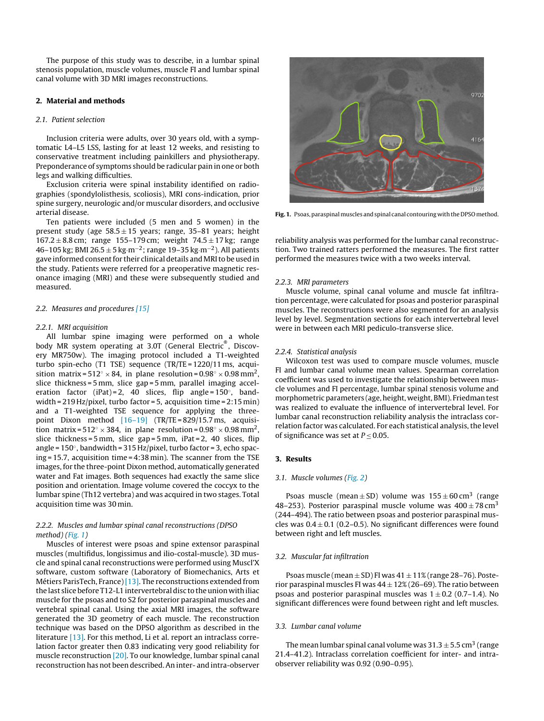The purpose of this study was to describe, in a lumbar spinal stenosis population, muscle volumes, muscle FI and lumbar spinal canal volume with 3D MRI images reconstructions.

## **2. Material and methods**

## 2.1. Patient selection

Inclusion criteria were adults, over 30 years old, with a symptomatic L4–L5 LSS, lasting for at least 12 weeks, and resisting to conservative treatment including painkillers and physiotherapy. Preponderance of symptoms should be radicular pain in one or both legs and walking difficulties.

Exclusion criteria were spinal instability identified on radiographies (spondylolisthesis, scoliosis), MRI cons-indication, prior spine surgery, neurologic and/or muscular disorders, and occlusive arterial disease.

Ten patients were included (5 men and 5 women) in the present study (age  $58.5 \pm 15$  years; range, 35-81 years; height  $167.2 \pm 8.8$  cm; range 155–179 cm; weight  $74.5 \pm 17$  kg; range 46–105 kg; BMI 26.5 ± 5 kg·m<sup>-2</sup>; range 19–35 kg·m<sup>-2</sup>). All patients gave informed consent for their clinical details andMRIto be used in the study. Patients were referred for a preoperative magnetic resonance imaging (MRI) and these were subsequently studied and measured.

#### 2.2. Measures and procedures [\[15\]](#page-4-0)

#### 2.2.1. MRI acquisition

All lumbar spine imaging were performed on a whole body MR system operating at 3.0T (General Electric<sup>®</sup>, Discovery MR750w). The imaging protocol included a T1-weighted turbo spin-echo (T1 TSE) sequence (TR/TE = 1220/11 ms, acquisition matrix =  $512° \times 84$ , in plane resolution =  $0.98° \times 0.98$  mm<sup>2</sup>, slice thickness = 5 mm, slice gap = 5 mm, parallel imaging acceleration factor (iPat) = 2, 40 slices, flip angle =  $150^\circ$ , bandwidth = 219 Hz/pixel, turbo factor = 5, acquisition time = 2:15 min) and a T1-weighted TSE sequence for applying the threepoint Dixon method [\[16–19\]](#page-4-0) (TR/TE = 829/15.7 ms, acquisition matrix =  $512° \times 384$ , in plane resolution =  $0.98° \times 0.98$  mm<sup>2</sup>, slice thickness = 5 mm, slice gap = 5 mm, iPat = 2, 40 slices, flip angle = 150◦, bandwidth = 315 Hz/pixel, turbo factor = 3, echo spacing = 15.7, acquisition time = 4:38 min). The scanner from the TSE images, for the three-point Dixon method, automatically generated water and Fat images. Both sequences had exactly the same slice position and orientation. Image volume covered the coccyx to the lumbar spine (Th12 vertebra) and was acquired in two stages. Total acquisition time was 30 min.

## 2.2.2. Muscles and lumbar spinal canal reconstructions (DPSO method) (Fig. 1)

Muscles of interest were psoas and spine extensor paraspinal muscles (multifidus, longissimus and ilio-costal-muscle). 3D muscle and spinal canal reconstructions were performed using Muscl'X software, custom software (Laboratory of Biomechanics, Arts et Métiers ParisTech, France) [\[13\]. T](#page-4-0)he reconstructions extended from the last slice before T12-L1 intervertebral disc to the union with iliac muscle for the psoas and to S2 for posterior paraspinal muscles and vertebral spinal canal. Using the axial MRI images, the software generated the 3D geometry of each muscle. The reconstruction technique was based on the DPSO algorithm as described in the literature [\[13\]. F](#page-4-0)or this method, Li et al. report an intraclass correlation factor greater then 0.83 indicating very good reliability for muscle reconstruction [\[20\]. T](#page-5-0)o our knowledge, lumbar spinal canal reconstruction has not been described. An inter- and intra-observer



Fig. 1. Psoas, paraspinal muscles and spinal canal contouring with the DPSO method.

reliability analysis was performed for the lumbar canal reconstruction. Two trained ratters performed the measures. The first ratter performed the measures twice with a two weeks interval.

#### 2.2.3. MRI parameters

Muscle volume, spinal canal volume and muscle fat infiltration percentage, were calculated for psoas and posterior paraspinal muscles. The reconstructions were also segmented for an analysis level by level. Segmentation sections for each intervertebral level were in between each MRI pediculo-transverse slice.

## 2.2.4. Statistical analysis

Wilcoxon test was used to compare muscle volumes, muscle FI and lumbar canal volume mean values. Spearman correlation coefficient was used to investigate the relationship between muscle volumes and FI percentage, lumbar spinal stenosis volume and morphometric parameters (age, height, weight, BMI). Friedman test was realized to evaluate the influence of intervertebral level. For lumbar canal reconstruction reliability analysis the intraclass correlation factor was calculated. For each statistical analysis, the level of significance was set at  $P \leq 0.05$ .

## **3. Results**

#### 3.1. Muscle volumes [\(Fig. 2\)](#page-3-0)

Psoas muscle (mean  $\pm$  SD) volume was 155  $\pm$  60 cm<sup>3</sup> (range 48–253). Posterior paraspinal muscle volume was  $400 \pm 78 \text{ cm}^3$ (244–494). The ratio between psoas and posterior paraspinal muscles was  $0.4 \pm 0.1$  (0.2–0.5). No significant differences were found between right and left muscles.

## 3.2. Muscular fat infiltration

Psoas muscle (mean  $\pm$  SD) FI was  $41 \pm 11\%$  (range 28-76). Posterior paraspinal muscles FI was  $44 \pm 12\%$  (26–69). The ratio between psoas and posterior paraspinal muscles was  $1 \pm 0.2$  (0.7–1.4). No significant differences were found between right and left muscles.

#### 3.3. Lumbar canal volume

The mean lumbar spinal canal volume was  $31.3 \pm 5.5$  cm<sup>3</sup> (range 21.4–41.2). Intraclass correlation coefficient for inter- and intraobserver reliability was 0.92 (0.90–0.95).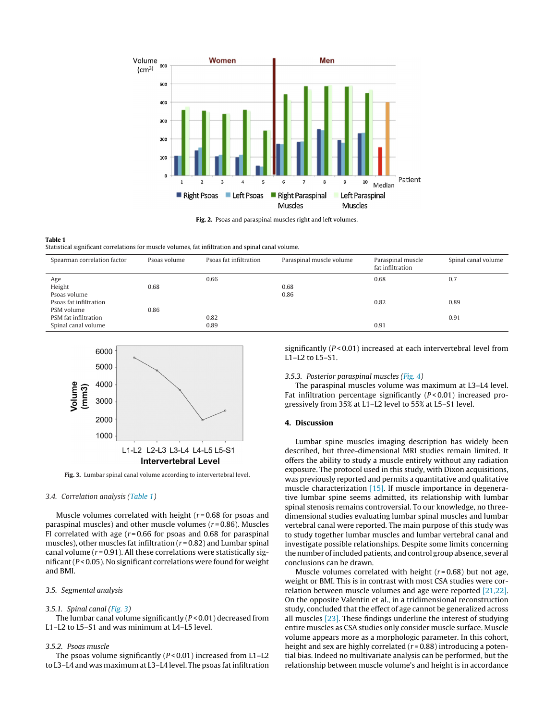<span id="page-3-0"></span>

**Fig. 2.** Psoas and paraspinal muscles right and left volumes.

#### **Table 1**

Statistical significant correlations for muscle volumes, fat infiltration and spinal canal volume.

| Spearman correlation factor | Psoas volume | Psoas fat infiltration | Paraspinal muscle volume | Paraspinal muscle<br>fat infiltration | Spinal canal volume |
|-----------------------------|--------------|------------------------|--------------------------|---------------------------------------|---------------------|
| Age                         |              | 0.66                   |                          | 0.68                                  | 0.7                 |
| Height                      | 0.68         |                        | 0.68                     |                                       |                     |
| Psoas volume                |              |                        | 0.86                     |                                       |                     |
| Psoas fat infiltration      |              |                        |                          | 0.82                                  | 0.89                |
| PSM volume                  | 0.86         |                        |                          |                                       |                     |
| PSM fat infiltration        |              | 0.82                   |                          |                                       | 0.91                |
| Spinal canal volume         |              | 0.89                   |                          | 0.91                                  |                     |



**Fig. 3.** Lumbar spinal canal volume according to intervertebral level.

## 3.4. Correlation analysis (Table 1)

Muscle volumes correlated with height  $(r=0.68$  for psoas and paraspinal muscles) and other muscle volumes  $(r=0.86)$ . Muscles FI correlated with age  $(r=0.66$  for psoas and 0.68 for paraspinal muscles), other muscles fat infiltration ( $r = 0.82$ ) and Lumbar spinal canal volume ( $r = 0.91$ ). All these correlations were statistically significant (P < 0.05). No significant correlations were found for weight and BMI.

## 3.5. Segmental analysis

#### 3.5.1. Spinal canal (Fig. 3)

The lumbar canal volume significantly  $(P < 0.01)$  decreased from L1–L2 to L5–S1 and was minimum at L4–L5 level.

#### 3.5.2. Psoas muscle

The psoas volume significantly  $(P < 0.01)$  increased from L1-L2 to L3–L4 and was maximum at L3–L4 level. The psoas fat infiltration significantly  $(P < 0.01)$  increased at each intervertebral level from L1–L2 to L5–S1.

#### 3.5.3. Posterior paraspinal muscles ([Fig. 4\)](#page-4-0)

The paraspinal muscles volume was maximum at L3–L4 level. Fat infiltration percentage significantly  $(P< 0.01)$  increased progressively from 35% at L1–L2 level to 55% at L5–S1 level.

#### **4. Discussion**

Lumbar spine muscles imaging description has widely been described, but three-dimensional MRI studies remain limited. It offers the ability to study a muscle entirely without any radiation exposure. The protocol used in this study, with Dixon acquisitions, was previously reported and permits a quantitative and qualitative muscle characterization [\[15\].](#page-4-0) If muscle importance in degenerative lumbar spine seems admitted, its relationship with lumbar spinal stenosis remains controversial. To our knowledge, no threedimensional studies evaluating lumbar spinal muscles and lumbar vertebral canal were reported. The main purpose of this study was to study together lumbar muscles and lumbar vertebral canal and investigate possible relationships. Despite some limits concerning the number of included patients, and control group absence, several conclusions can be drawn.

Muscle volumes correlated with height ( $r = 0.68$ ) but not age, weight or BMI. This is in contrast with most CSA studies were correlation between muscle volumes and age were reported [\[21,22\].](#page-5-0) On the opposite Valentin et al., in a tridimensional reconstruction study, concluded that the effect of age cannot be generalized across all muscles [\[23\]. T](#page-5-0)hese findings underline the interest of studying entire muscles as CSA studies only consider muscle surface. Muscle volume appears more as a morphologic parameter. In this cohort, height and sex are highly correlated ( $r = 0.88$ ) introducing a potential bias. Indeed no multivariate analysis can be performed, but the relationship between muscle volume's and height is in accordance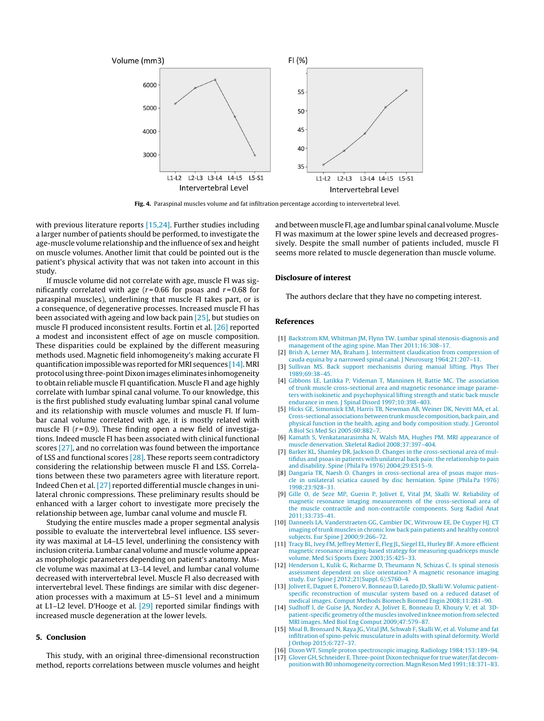<span id="page-4-0"></span>

**Fig. 4.** Paraspinal muscles volume and fat infiltration percentage according to intervertebral level.

with previous literature reports [15,24]. Further studies including a larger number of patients should be performed, to investigate the age-muscle volume relationship and the influence of sex and height on muscle volumes. Another limit that could be pointed out is the patient's physical activity that was not taken into account in this study.

If muscle volume did not correlate with age, muscle FI was significantly correlated with age ( $r = 0.66$  for psoas and  $r = 0.68$  for paraspinal muscles), underlining that muscle FI takes part, or is a consequence, of degenerative processes. Increased muscle FI has been associated with ageing and low back pain [\[25\], b](#page-5-0)ut studies on muscle FI produced inconsistent results. Fortin et al. [\[26\]](#page-5-0) reported a modest and inconsistent effect of age on muscle composition. These disparities could be explained by the different measuring methods used. Magnetic field inhomogeneity's making accurate FI quantification impossible was reported for MRI sequences  $[14]$ . MRI protocol using three-point Dixon images eliminates inhomogeneity to obtain reliable muscle FI quantification. Muscle FI and age highly correlate with lumbar spinal canal volume. To our knowledge, this is the first published study evaluating lumbar spinal canal volume and its relationship with muscle volumes and muscle FI. If lumbar canal volume correlated with age, it is mostly related with muscle FI ( $r = 0.9$ ). These finding open a new field of investigations. Indeed muscle FI has been associated with clinical functional scores [\[27\], a](#page-5-0)nd no correlation was found between the importance of LSS and functional scores [\[28\]. T](#page-5-0)hese reports seem contradictory considering the relationship between muscle FI and LSS. Correlations between these two parameters agree with literature report. Indeed Chen et al. [\[27\]](#page-5-0) reported differential muscle changes in unilateral chronic compressions. These preliminary results should be enhanced with a larger cohort to investigate more precisely the relationship between age, lumbar canal volume and muscle FI.

Studying the entire muscles made a proper segmental analysis possible to evaluate the intervertebral level influence. LSS severity was maximal at L4–L5 level, underlining the consistency with inclusion criteria. Lumbar canal volume and muscle volume appear as morphologic parameters depending on patient's anatomy. Muscle volume was maximal at L3–L4 level, and lumbar canal volume decreased with intervertebral level. Muscle FI also decreased with intervertebral level. These findings are similar with disc degeneration processes with a maximum at L5–S1 level and a minimum at L1-L2 level. D'Hooge et al.  $[29]$  reported similar findings with increased muscle degeneration at the lower levels.

## **5. Conclusion**

This study, with an original three-dimensional reconstruction method, reports correlations between muscle volumes and height and between muscle FI, age and lumbar spinal canal volume. Muscle FI was maximum at the lower spine levels and decreased progressively. Despite the small number of patients included, muscle FI seems more related to muscle degeneration than muscle volume.

#### **Disclosure of interest**

The authors declare that they have no competing interest.

## **References**

- [1] [Backstrom](http://refhub.elsevier.com/S1877-0568(17)30006-3/sbref0150) [KM,](http://refhub.elsevier.com/S1877-0568(17)30006-3/sbref0150) [Whitman](http://refhub.elsevier.com/S1877-0568(17)30006-3/sbref0150) [JM,](http://refhub.elsevier.com/S1877-0568(17)30006-3/sbref0150) [Flynn](http://refhub.elsevier.com/S1877-0568(17)30006-3/sbref0150) [TW.](http://refhub.elsevier.com/S1877-0568(17)30006-3/sbref0150) [Lumbar spinal stenosis-diagnosis and](http://refhub.elsevier.com/S1877-0568(17)30006-3/sbref0150) [management of the aging spine.](http://refhub.elsevier.com/S1877-0568(17)30006-3/sbref0150) [Man](http://refhub.elsevier.com/S1877-0568(17)30006-3/sbref0150) [Ther 2011;16:308](http://refhub.elsevier.com/S1877-0568(17)30006-3/sbref0150)–[17.](http://refhub.elsevier.com/S1877-0568(17)30006-3/sbref0150)
- [Brish A, Lerner](http://refhub.elsevier.com/S1877-0568(17)30006-3/sbref0155) [MA,](http://refhub.elsevier.com/S1877-0568(17)30006-3/sbref0155) [Braham J. Intermittent claudication from compression of](http://refhub.elsevier.com/S1877-0568(17)30006-3/sbref0155) [cauda equina by a narrowed spinal canal. J Neurosurg](http://refhub.elsevier.com/S1877-0568(17)30006-3/sbref0155) [1964;21:207](http://refhub.elsevier.com/S1877-0568(17)30006-3/sbref0155)–[11.](http://refhub.elsevier.com/S1877-0568(17)30006-3/sbref0155)
- [3] [Sullivan MS. Back support mechanisms during manual lifting. Phys Ther](http://refhub.elsevier.com/S1877-0568(17)30006-3/sbref0160) [1989;69:38](http://refhub.elsevier.com/S1877-0568(17)30006-3/sbref0160)–[45.](http://refhub.elsevier.com/S1877-0568(17)30006-3/sbref0160)
- [4] [Gibbons LE, Latikka P, Videman T, Manninen H, Battie MC. The association](http://refhub.elsevier.com/S1877-0568(17)30006-3/sbref0165) [of trunk muscle cross-sectional area and magnetic resonance image parame](http://refhub.elsevier.com/S1877-0568(17)30006-3/sbref0165)[ters with isokinetic and psychophysical lifting strength and static back muscle](http://refhub.elsevier.com/S1877-0568(17)30006-3/sbref0165) [endurance in men. J Spinal Disord](http://refhub.elsevier.com/S1877-0568(17)30006-3/sbref0165) [1997;10:398–403.](http://refhub.elsevier.com/S1877-0568(17)30006-3/sbref0165)
- [5] [Hicks GE, Simonsick](http://refhub.elsevier.com/S1877-0568(17)30006-3/sbref0170) [EM,](http://refhub.elsevier.com/S1877-0568(17)30006-3/sbref0170) [Harris TB, Newman AB, Weiner DK, Nevitt](http://refhub.elsevier.com/S1877-0568(17)30006-3/sbref0170) [MA,](http://refhub.elsevier.com/S1877-0568(17)30006-3/sbref0170) [et al.](http://refhub.elsevier.com/S1877-0568(17)30006-3/sbref0170) [Cross-sectional associations between trunkmuscle composition, back pain, and](http://refhub.elsevier.com/S1877-0568(17)30006-3/sbref0170) [physical function in the health, aging and body composition study. J Gerontol](http://refhub.elsevier.com/S1877-0568(17)30006-3/sbref0170) [A Biol Sci](http://refhub.elsevier.com/S1877-0568(17)30006-3/sbref0170) [Med](http://refhub.elsevier.com/S1877-0568(17)30006-3/sbref0170) [Sci 2005;60:882–7.](http://refhub.elsevier.com/S1877-0568(17)30006-3/sbref0170)
- [6] [Kamath S, Venkatanarasimha N, Walsh](http://refhub.elsevier.com/S1877-0568(17)30006-3/sbref0175) [MA,](http://refhub.elsevier.com/S1877-0568(17)30006-3/sbref0175) [Hughes](http://refhub.elsevier.com/S1877-0568(17)30006-3/sbref0175) [PM. MRI](http://refhub.elsevier.com/S1877-0568(17)30006-3/sbref0175) [appearance of](http://refhub.elsevier.com/S1877-0568(17)30006-3/sbref0175) [muscle denervation. Skeletal Radiol 2008;37:397–404.](http://refhub.elsevier.com/S1877-0568(17)30006-3/sbref0175)
- [Barker KL, Shamley DR, Jackson D. Changes in the cross-sectional area of mul](http://refhub.elsevier.com/S1877-0568(17)30006-3/sbref0180)[tifidus and psoas in patients with unilateral back pain: the relationship to pain](http://refhub.elsevier.com/S1877-0568(17)30006-3/sbref0180) [and disability. Spine \(Phila Pa 1976\) 2004;29:E515–9.](http://refhub.elsevier.com/S1877-0568(17)30006-3/sbref0180)
- [8] [Dangaria TR, Naesh O. Changes in cross-sectional area of psoas major mus](http://refhub.elsevier.com/S1877-0568(17)30006-3/sbref0185)[cle in unilateral sciatica caused by disc herniation. Spine \(Phila Pa 1976\)](http://refhub.elsevier.com/S1877-0568(17)30006-3/sbref0185) [1998;23:928–31.](http://refhub.elsevier.com/S1877-0568(17)30006-3/sbref0185)
- [9] [Gille O, de Seze](http://refhub.elsevier.com/S1877-0568(17)30006-3/sbref0190) [MP,](http://refhub.elsevier.com/S1877-0568(17)30006-3/sbref0190) [Guerin P, Jolivet E, Vital](http://refhub.elsevier.com/S1877-0568(17)30006-3/sbref0190) [JM,](http://refhub.elsevier.com/S1877-0568(17)30006-3/sbref0190) [Skalli](http://refhub.elsevier.com/S1877-0568(17)30006-3/sbref0190) [W.](http://refhub.elsevier.com/S1877-0568(17)30006-3/sbref0190) [Reliability of](http://refhub.elsevier.com/S1877-0568(17)30006-3/sbref0190) [magnetic resonance imaging measurements of the cross-sectional area of](http://refhub.elsevier.com/S1877-0568(17)30006-3/sbref0190) [the muscle contractile and non-contractile components. Surg Radiol Anat](http://refhub.elsevier.com/S1877-0568(17)30006-3/sbref0190) [2011;33:735](http://refhub.elsevier.com/S1877-0568(17)30006-3/sbref0190)–[41.](http://refhub.elsevier.com/S1877-0568(17)30006-3/sbref0190)
- [10] [Danneels LA, Vanderstraeten GG, Cambier DC, Witvrouw EE, De Cuyper HJ. CT](http://refhub.elsevier.com/S1877-0568(17)30006-3/sbref0195) [imaging of trunk muscles in chronic low back pain patients and healthy control](http://refhub.elsevier.com/S1877-0568(17)30006-3/sbref0195) [subjects. Eur Spine J 2000;9:266](http://refhub.elsevier.com/S1877-0568(17)30006-3/sbref0195)–[72.](http://refhub.elsevier.com/S1877-0568(17)30006-3/sbref0195)
- [11] [Tracy BL, Ivey](http://refhub.elsevier.com/S1877-0568(17)30006-3/sbref0200) [FM,](http://refhub.elsevier.com/S1877-0568(17)30006-3/sbref0200) [Jeffrey Metter E, Fleg JL, Siegel EL, Hurley BF. A more efficient](http://refhub.elsevier.com/S1877-0568(17)30006-3/sbref0200) [magnetic resonance imaging-based strategy for measuring quadriceps muscle](http://refhub.elsevier.com/S1877-0568(17)30006-3/sbref0200) [volume. Med Sci Sports Exerc 2003;35:425](http://refhub.elsevier.com/S1877-0568(17)30006-3/sbref0200)–[33.](http://refhub.elsevier.com/S1877-0568(17)30006-3/sbref0200)
- [12] [Henderson L, Kulik G, Richarme D, Theumann N, Schizas C. Is spinal stenosis](http://refhub.elsevier.com/S1877-0568(17)30006-3/sbref0205) [assessment dependent on slice orientation? A magnetic resonance imaging](http://refhub.elsevier.com/S1877-0568(17)30006-3/sbref0205) [study. Eur Spine J 2012;21\(Suppl. 6\):S760](http://refhub.elsevier.com/S1877-0568(17)30006-3/sbref0205)–[4.](http://refhub.elsevier.com/S1877-0568(17)30006-3/sbref0205)
- [13] [Jolivet E, Daguet E, Pomero V, Bonneau D, Laredo JD, Skalli](http://refhub.elsevier.com/S1877-0568(17)30006-3/sbref0210) [W.](http://refhub.elsevier.com/S1877-0568(17)30006-3/sbref0210) [Volumic patient](http://refhub.elsevier.com/S1877-0568(17)30006-3/sbref0210)[specific reconstruction of muscular system based on a reduced dataset of](http://refhub.elsevier.com/S1877-0568(17)30006-3/sbref0210) [medical images. Comput Methods Biomech Biomed Engin 2008;11:281](http://refhub.elsevier.com/S1877-0568(17)30006-3/sbref0210)–[90.](http://refhub.elsevier.com/S1877-0568(17)30006-3/sbref0210)
- [14] [Sudhoff I, de Guise JA, Nordez A, Jolivet E, Bonneau D, Khoury V, et al. 3D](http://refhub.elsevier.com/S1877-0568(17)30006-3/sbref0215)[patient-specific geometry of themuscles involved in kneemotion from selected](http://refhub.elsevier.com/S1877-0568(17)30006-3/sbref0215) [MRI](http://refhub.elsevier.com/S1877-0568(17)30006-3/sbref0215) [images.](http://refhub.elsevier.com/S1877-0568(17)30006-3/sbref0215) [Med](http://refhub.elsevier.com/S1877-0568(17)30006-3/sbref0215) [Biol Eng Comput 2009;47:579–87.](http://refhub.elsevier.com/S1877-0568(17)30006-3/sbref0215)
- [15] [Moal B, Bronsard N, Raya JG, Vital](http://refhub.elsevier.com/S1877-0568(17)30006-3/sbref0220) [JM,](http://refhub.elsevier.com/S1877-0568(17)30006-3/sbref0220) [Schwab F, Skalli](http://refhub.elsevier.com/S1877-0568(17)30006-3/sbref0220) [W,](http://refhub.elsevier.com/S1877-0568(17)30006-3/sbref0220) [et al. Volume and fat](http://refhub.elsevier.com/S1877-0568(17)30006-3/sbref0220) [infiltration of spino-pelvic musculature in adults with spinal deformity. World](http://refhub.elsevier.com/S1877-0568(17)30006-3/sbref0220) [J Orthop 2015;6:727–37.](http://refhub.elsevier.com/S1877-0568(17)30006-3/sbref0220)
- [16] [Dixon](http://refhub.elsevier.com/S1877-0568(17)30006-3/sbref0225) [WT.](http://refhub.elsevier.com/S1877-0568(17)30006-3/sbref0225) [Simple proton spectroscopic imaging. Radiology 1984;153:189–94.](http://refhub.elsevier.com/S1877-0568(17)30006-3/sbref0225)
- [17] [Glover GH, Schneider E. Three-point Dixon technique for true water/fat decom](http://refhub.elsevier.com/S1877-0568(17)30006-3/sbref0230)[position with B0 inhomogeneity correction. Magn Reson](http://refhub.elsevier.com/S1877-0568(17)30006-3/sbref0230) [Med](http://refhub.elsevier.com/S1877-0568(17)30006-3/sbref0230) [1991;18:371–83.](http://refhub.elsevier.com/S1877-0568(17)30006-3/sbref0230)